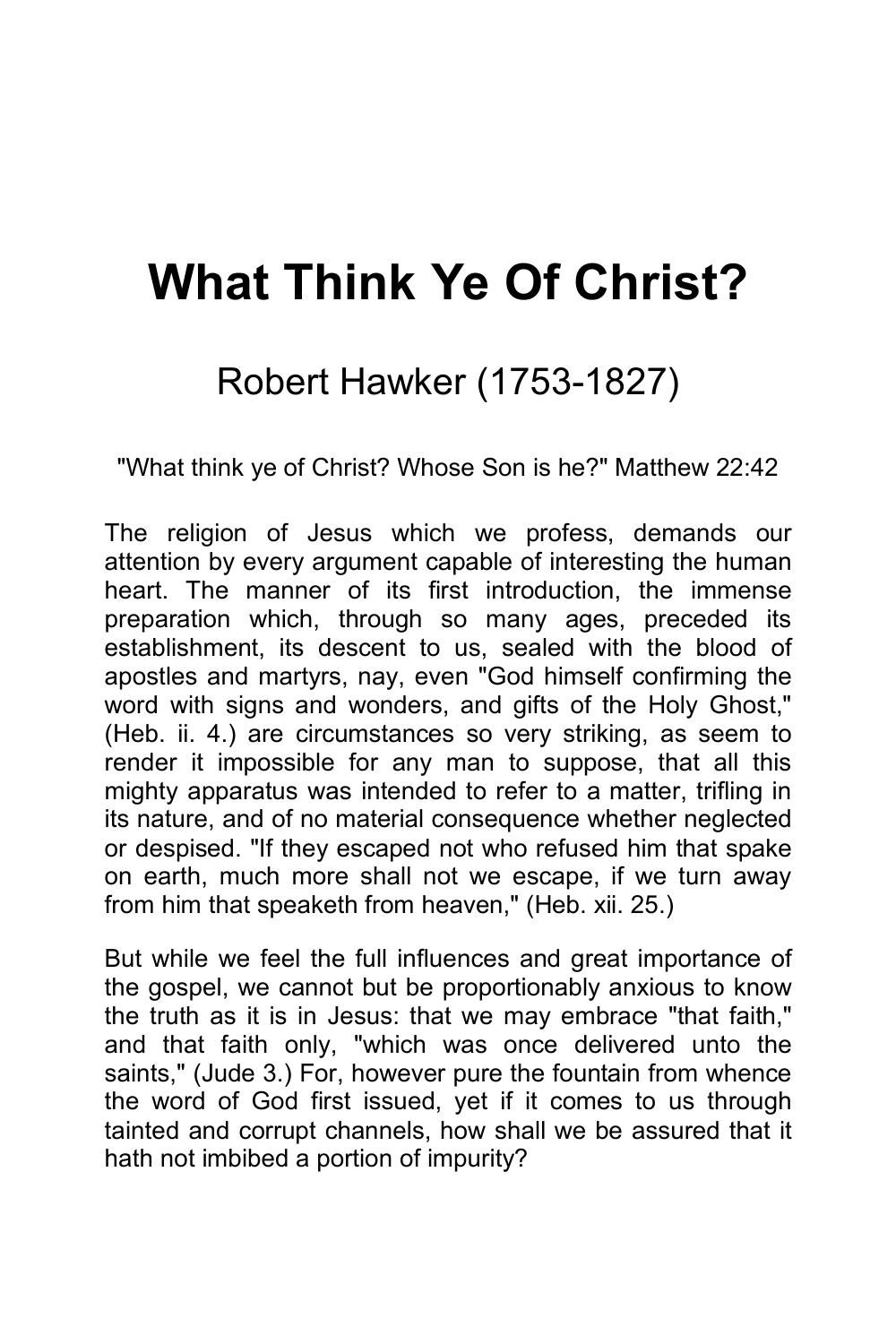## **What Think Ye Of Christ?**

## Robert Hawker (1753-1827)

"What think ye of Christ? Whose Son is he?" Matthew 22:42

The religion of Jesus which we profess, demands our attention by every argument capable of interesting the human heart. The manner of its first introduction, the immense preparation which, through so many ages, preceded its establishment, its descent to us, sealed with the blood of apostles and martyrs, nay, even "God himself confirming the word with signs and wonders, and gifts of the Holy Ghost," (Heb. ii. 4.) are circumstances so very striking, as seem to render it impossible for any man to suppose, that all this mighty apparatus was intended to refer to a matter, trifling in its nature, and of no material consequence whether neglected or despised. "If they escaped not who refused him that spake on earth, much more shall not we escape, if we turn away from him that speaketh from heaven," (Heb. xii. 25.)

But while we feel the full influences and great importance of the gospel, we cannot but be proportionably anxious to know the truth as it is in Jesus: that we may embrace "that faith," and that faith only, "which was once delivered unto the saints," (Jude 3.) For, however pure the fountain from whence the word of God first issued, yet if it comes to us through tainted and corrupt channels, how shall we be assured that it hath not imbibed a portion of impurity?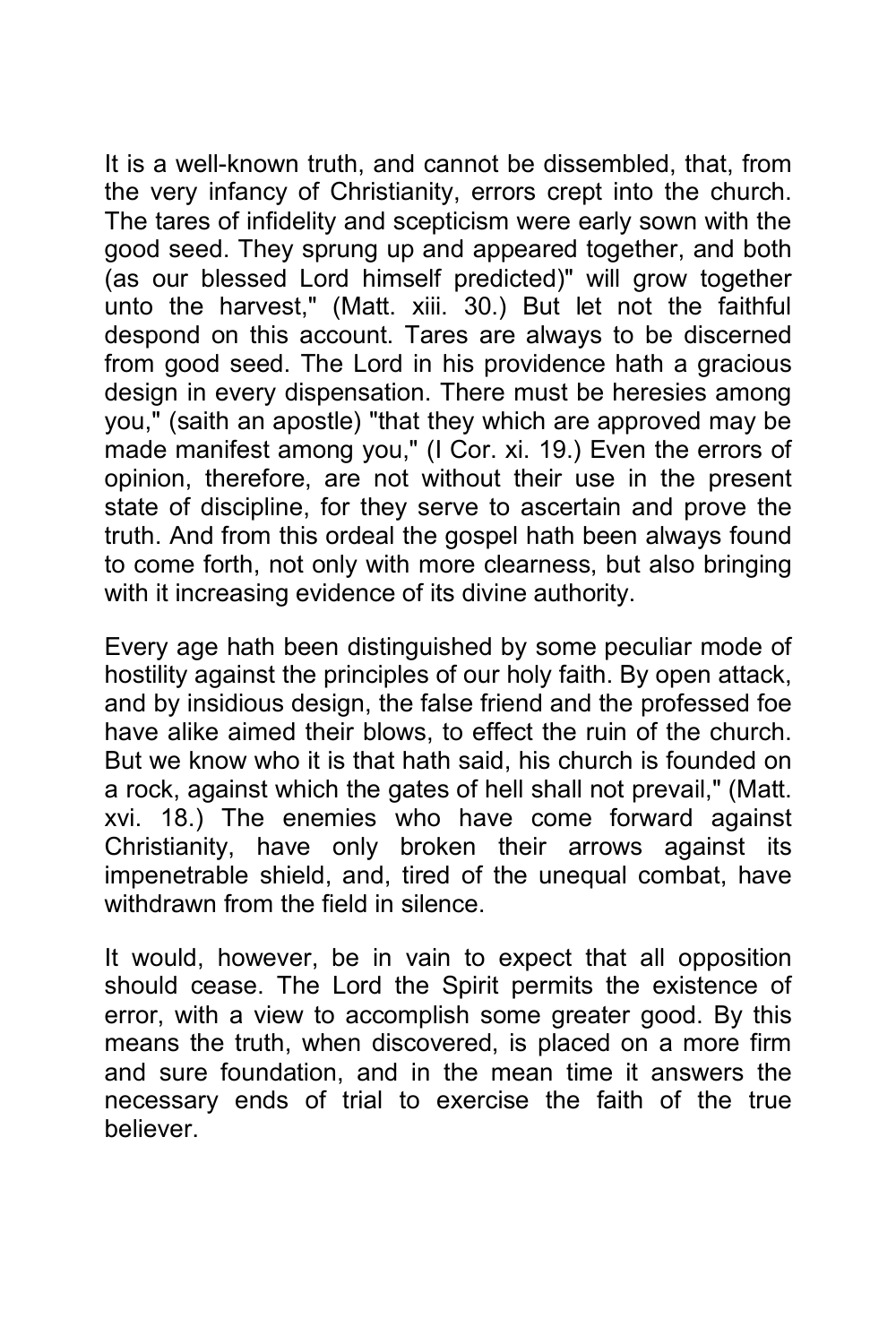It is a well-known truth, and cannot be dissembled, that, from the very infancy of Christianity, errors crept into the church. The tares of infidelity and scepticism were early sown with the good seed. They sprung up and appeared together, and both (as our blessed Lord himself predicted)" will grow together unto the harvest," (Matt. xiii. 30.) But let not the faithful despond on this account. Tares are always to be discerned from good seed. The Lord in his providence hath a gracious design in every dispensation. There must be heresies among you," (saith an apostle) "that they which are approved may be made manifest among you," (I Cor. xi. 19.) Even the errors of opinion, therefore, are not without their use in the present state of discipline, for they serve to ascertain and prove the truth. And from this ordeal the gospel hath been always found to come forth, not only with more clearness, but also bringing with it increasing evidence of its divine authority.

Every age hath been distinguished by some peculiar mode of hostility against the principles of our holy faith. By open attack, and by insidious design, the false friend and the professed foe have alike aimed their blows, to effect the ruin of the church. But we know who it is that hath said, his church is founded on a rock, against which the gates of hell shall not prevail," (Matt. xvi. 18.) The enemies who have come forward against Christianity, have only broken their arrows against its impenetrable shield, and, tired of the unequal combat, have withdrawn from the field in silence.

It would, however, be in vain to expect that all opposition should cease. The Lord the Spirit permits the existence of error, with a view to accomplish some greater good. By this means the truth, when discovered, is placed on a more firm and sure foundation, and in the mean time it answers the necessary ends of trial to exercise the faith of the true believer.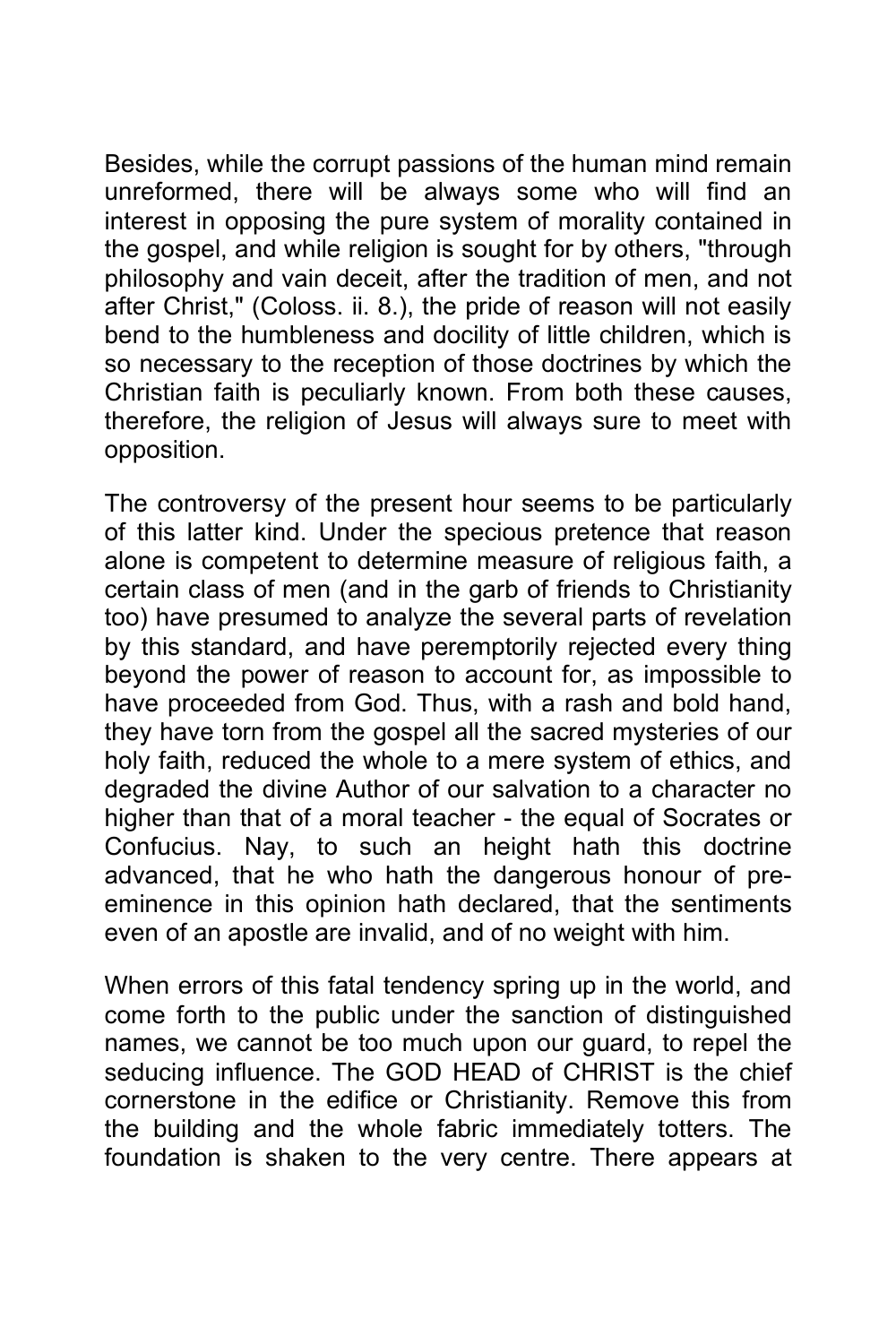Besides, while the corrupt passions of the human mind remain unreformed, there will be always some who will find an interest in opposing the pure system of morality contained in the gospel, and while religion is sought for by others, "through philosophy and vain deceit, after the tradition of men, and not after Christ," (Coloss. ii. 8.), the pride of reason will not easily bend to the humbleness and docility of little children, which is so necessary to the reception of those doctrines by which the Christian faith is peculiarly known. From both these causes, therefore, the religion of Jesus will always sure to meet with opposition.

The controversy of the present hour seems to be particularly of this latter kind. Under the specious pretence that reason alone is competent to determine measure of religious faith, a certain class of men (and in the garb of friends to Christianity too) have presumed to analyze the several parts of revelation by this standard, and have peremptorily rejected every thing beyond the power of reason to account for, as impossible to have proceeded from God. Thus, with a rash and bold hand, they have torn from the gospel all the sacred mysteries of our holy faith, reduced the whole to a mere system of ethics, and degraded the divine Author of our salvation to a character no higher than that of a moral teacher - the equal of Socrates or Confucius. Nay, to such an height hath this doctrine advanced, that he who hath the dangerous honour of preeminence in this opinion hath declared, that the sentiments even of an apostle are invalid, and of no weight with him.

When errors of this fatal tendency spring up in the world, and come forth to the public under the sanction of distinguished names, we cannot be too much upon our guard, to repel the seducing influence. The GOD HEAD of CHRIST is the chief cornerstone in the edifice or Christianity. Remove this from the building and the whole fabric immediately totters. The foundation is shaken to the very centre. There appears at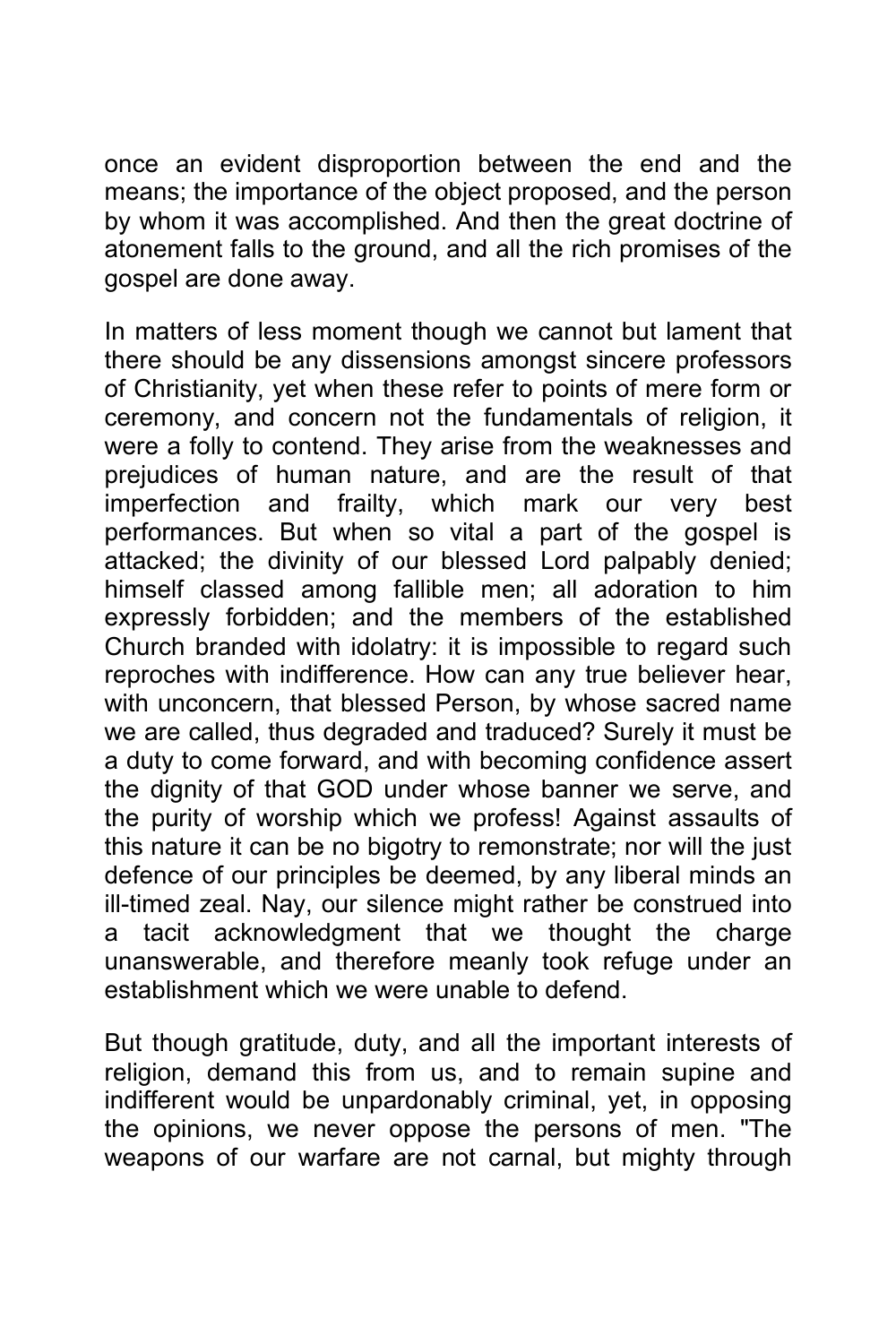once an evident disproportion between the end and the means; the importance of the object proposed, and the person by whom it was accomplished. And then the great doctrine of atonement falls to the ground, and all the rich promises of the gospel are done away.

In matters of less moment though we cannot but lament that there should be any dissensions amongst sincere professors of Christianity, yet when these refer to points of mere form or ceremony, and concern not the fundamentals of religion, it were a folly to contend. They arise from the weaknesses and prejudices of human nature, and are the result of that imperfection and frailty, which mark our very best performances. But when so vital a part of the gospel is attacked; the divinity of our blessed Lord palpably denied; himself classed among fallible men; all adoration to him expressly forbidden; and the members of the established Church branded with idolatry: it is impossible to regard such reproches with indifference. How can any true believer hear, with unconcern, that blessed Person, by whose sacred name we are called, thus degraded and traduced? Surely it must be a duty to come forward, and with becoming confidence assert the dignity of that GOD under whose banner we serve, and the purity of worship which we profess! Against assaults of this nature it can be no bigotry to remonstrate; nor will the just defence of our principles be deemed, by any liberal minds an ill-timed zeal. Nay, our silence might rather be construed into a tacit acknowledgment that we thought the charge unanswerable, and therefore meanly took refuge under an establishment which we were unable to defend.

But though gratitude, duty, and all the important interests of religion, demand this from us, and to remain supine and indifferent would be unpardonably criminal, yet, in opposing the opinions, we never oppose the persons of men. "The weapons of our warfare are not carnal, but mighty through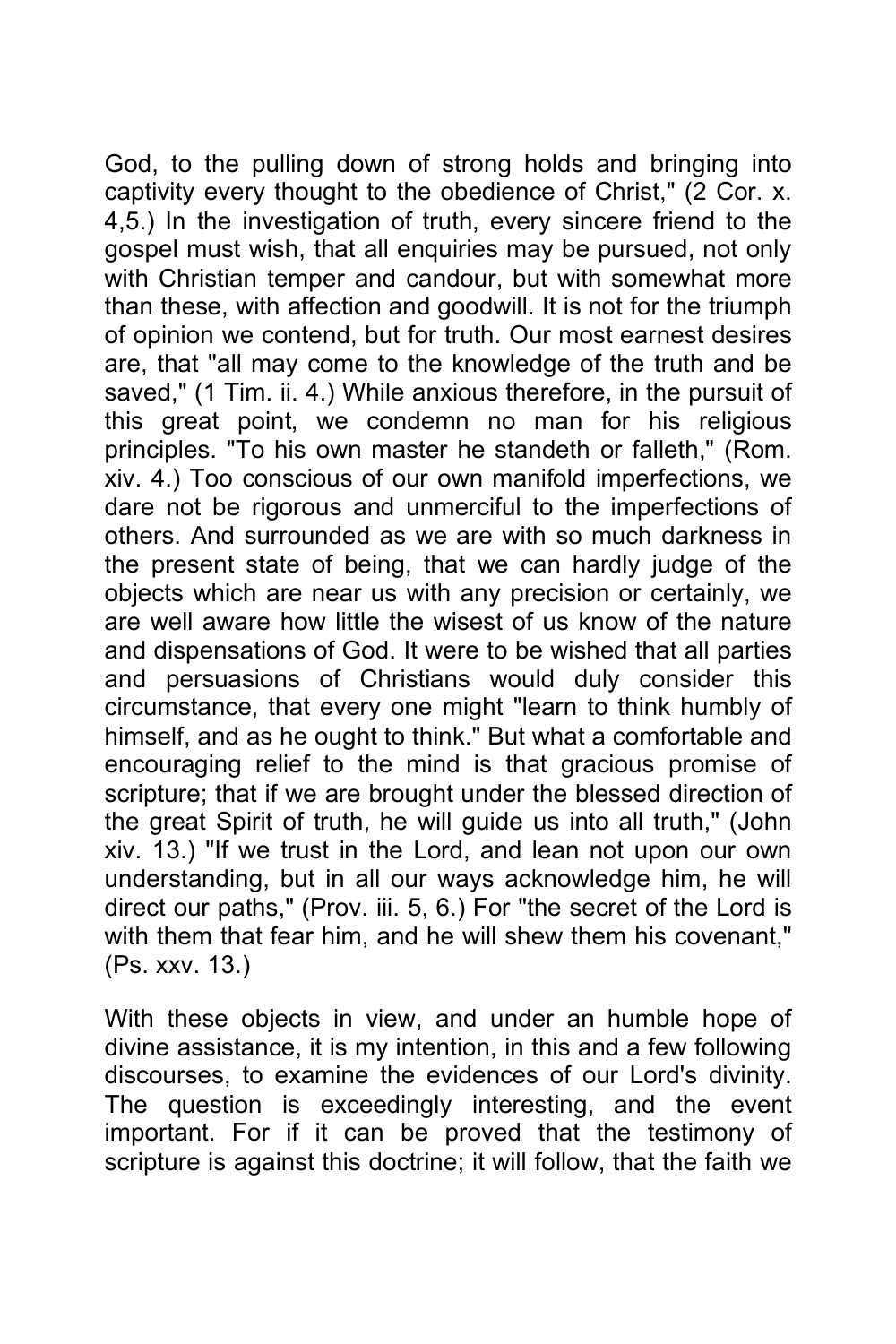God, to the pulling down of strong holds and bringing into captivity every thought to the obedience of Christ," (2 Cor. x. 4,5.) In the investigation of truth, every sincere friend to the gospel must wish, that all enquiries may be pursued, not only with Christian temper and candour, but with somewhat more than these, with affection and goodwill. It is not for the triumph of opinion we contend, but for truth. Our most earnest desires are, that "all may come to the knowledge of the truth and be saved," (1 Tim. ii. 4.) While anxious therefore, in the pursuit of this great point, we condemn no man for his religious principles. "To his own master he standeth or falleth," (Rom. xiv. 4.) Too conscious of our own manifold imperfections, we dare not be rigorous and unmerciful to the imperfections of others. And surrounded as we are with so much darkness in the present state of being, that we can hardly judge of the objects which are near us with any precision or certainly, we are well aware how little the wisest of us know of the nature and dispensations of God. It were to be wished that all parties and persuasions of Christians would duly consider this circumstance, that every one might "learn to think humbly of himself, and as he ought to think." But what a comfortable and encouraging relief to the mind is that gracious promise of scripture; that if we are brought under the blessed direction of the great Spirit of truth, he will guide us into all truth," (John xiv. 13.) "If we trust in the Lord, and lean not upon our own understanding, but in all our ways acknowledge him, he will direct our paths," (Prov. iii. 5, 6.) For "the secret of the Lord is with them that fear him, and he will shew them his covenant," (Ps. xxv. 13.)

With these objects in view, and under an humble hope of divine assistance, it is my intention, in this and a few following discourses, to examine the evidences of our Lord's divinity. The question is exceedingly interesting, and the event important. For if it can be proved that the testimony of scripture is against this doctrine; it will follow, that the faith we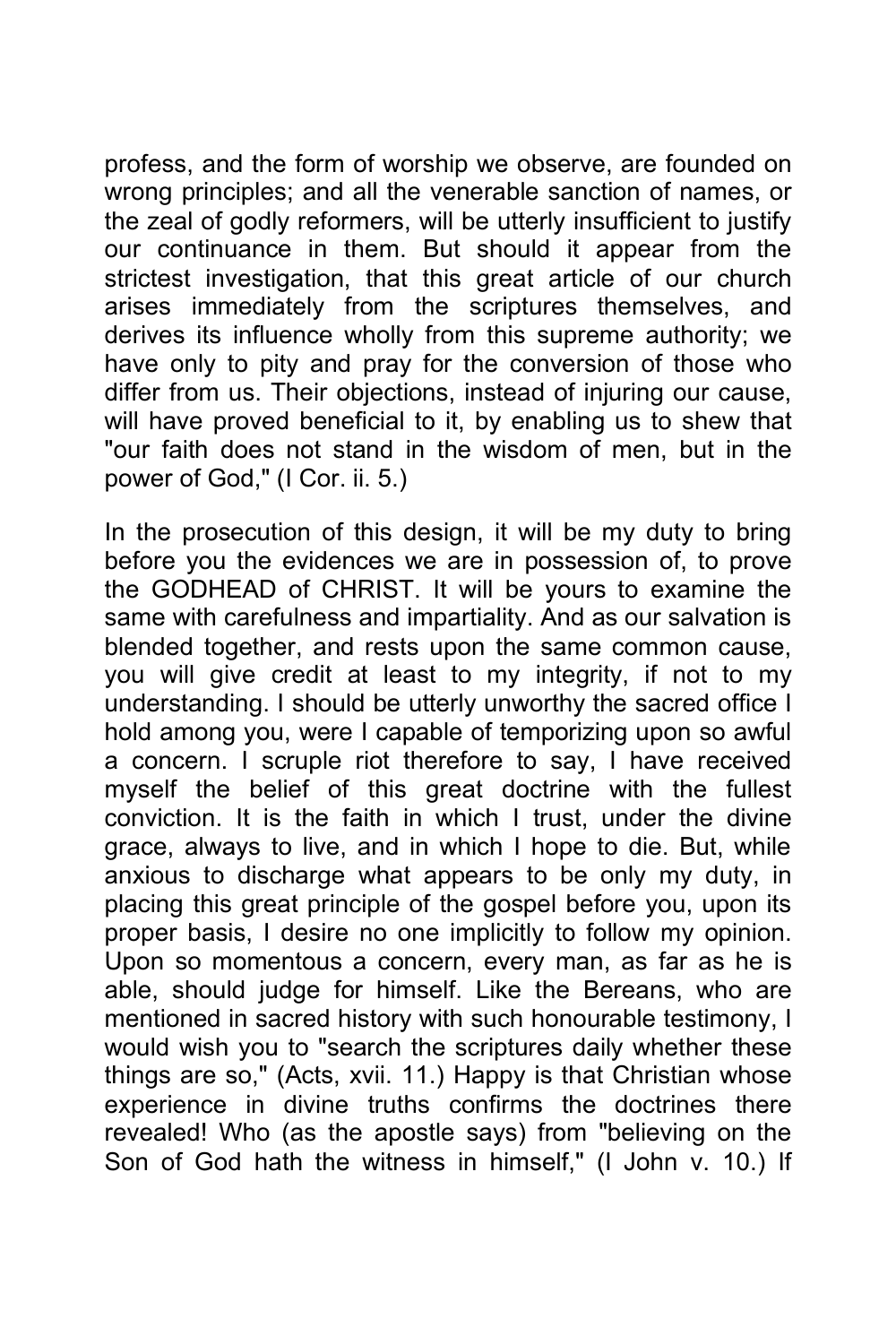profess, and the form of worship we observe, are founded on wrong principles; and all the venerable sanction of names, or the zeal of godly reformers, will be utterly insufficient to justify our continuance in them. But should it appear from the strictest investigation, that this great article of our church arises immediately from the scriptures themselves, and derives its influence wholly from this supreme authority; we have only to pity and pray for the conversion of those who differ from us. Their objections, instead of injuring our cause, will have proved beneficial to it, by enabling us to shew that "our faith does not stand in the wisdom of men, but in the power of God," (I Cor. ii. 5.)

In the prosecution of this design, it will be my duty to bring before you the evidences we are in possession of, to prove the GODHEAD of CHRIST. It will be yours to examine the same with carefulness and impartiality. And as our salvation is blended together, and rests upon the same common cause, you will give credit at least to my integrity, if not to my understanding. I should be utterly unworthy the sacred office I hold among you, were I capable of temporizing upon so awful a concern. I scruple riot therefore to say, I have received myself the belief of this great doctrine with the fullest conviction. It is the faith in which I trust, under the divine grace, always to live, and in which I hope to die. But, while anxious to discharge what appears to be only my duty, in placing this great principle of the gospel before you, upon its proper basis, I desire no one implicitly to follow my opinion. Upon so momentous a concern, every man, as far as he is able, should judge for himself. Like the Bereans, who are mentioned in sacred history with such honourable testimony, I would wish you to "search the scriptures daily whether these things are so," (Acts, xvii. 11.) Happy is that Christian whose experience in divine truths confirms the doctrines there revealed! Who (as the apostle says) from "believing on the Son of God hath the witness in himself," (I John v. 10.) If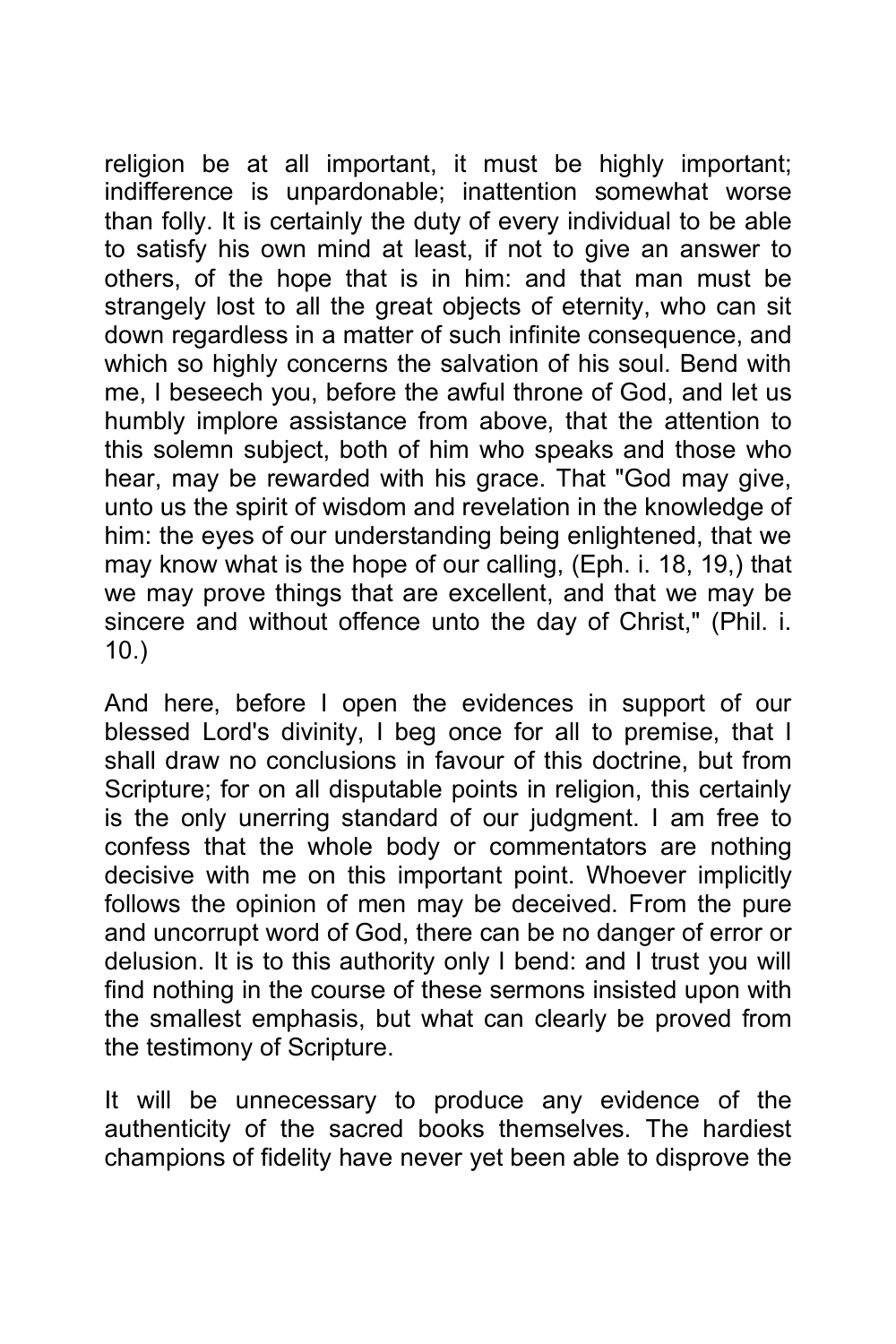religion be at all important, it must be highly important; indifference is unpardonable; inattention somewhat worse than folly. It is certainly the duty of every individual to be able to satisfy his own mind at least, if not to give an answer to others, of the hope that is in him: and that man must be strangely lost to all the great objects of eternity, who can sit down regardless in a matter of such infinite consequence, and which so highly concerns the salvation of his soul. Bend with me, I beseech you, before the awful throne of God, and let us humbly implore assistance from above, that the attention to this solemn subject, both of him who speaks and those who hear, may be rewarded with his grace. That "God may give, unto us the spirit of wisdom and revelation in the knowledge of him: the eyes of our understanding being enlightened, that we may know what is the hope of our calling, (Eph. i. 18, 19,) that we may prove things that are excellent, and that we may be sincere and without offence unto the day of Christ," (Phil. i. 10.)

And here, before I open the evidences in support of our blessed Lord's divinity, I beg once for all to premise, that I shall draw no conclusions in favour of this doctrine, but from Scripture; for on all disputable points in religion, this certainly is the only unerring standard of our judgment. I am free to confess that the whole body or commentators are nothing decisive with me on this important point. Whoever implicitly follows the opinion of men may be deceived. From the pure and uncorrupt word of God, there can be no danger of error or delusion. It is to this authority only I bend: and I trust you will find nothing in the course of these sermons insisted upon with the smallest emphasis, but what can clearly be proved from the testimony of Scripture.

It will be unnecessary to produce any evidence of the authenticity of the sacred books themselves. The hardiest champions of fidelity have never yet been able to disprove the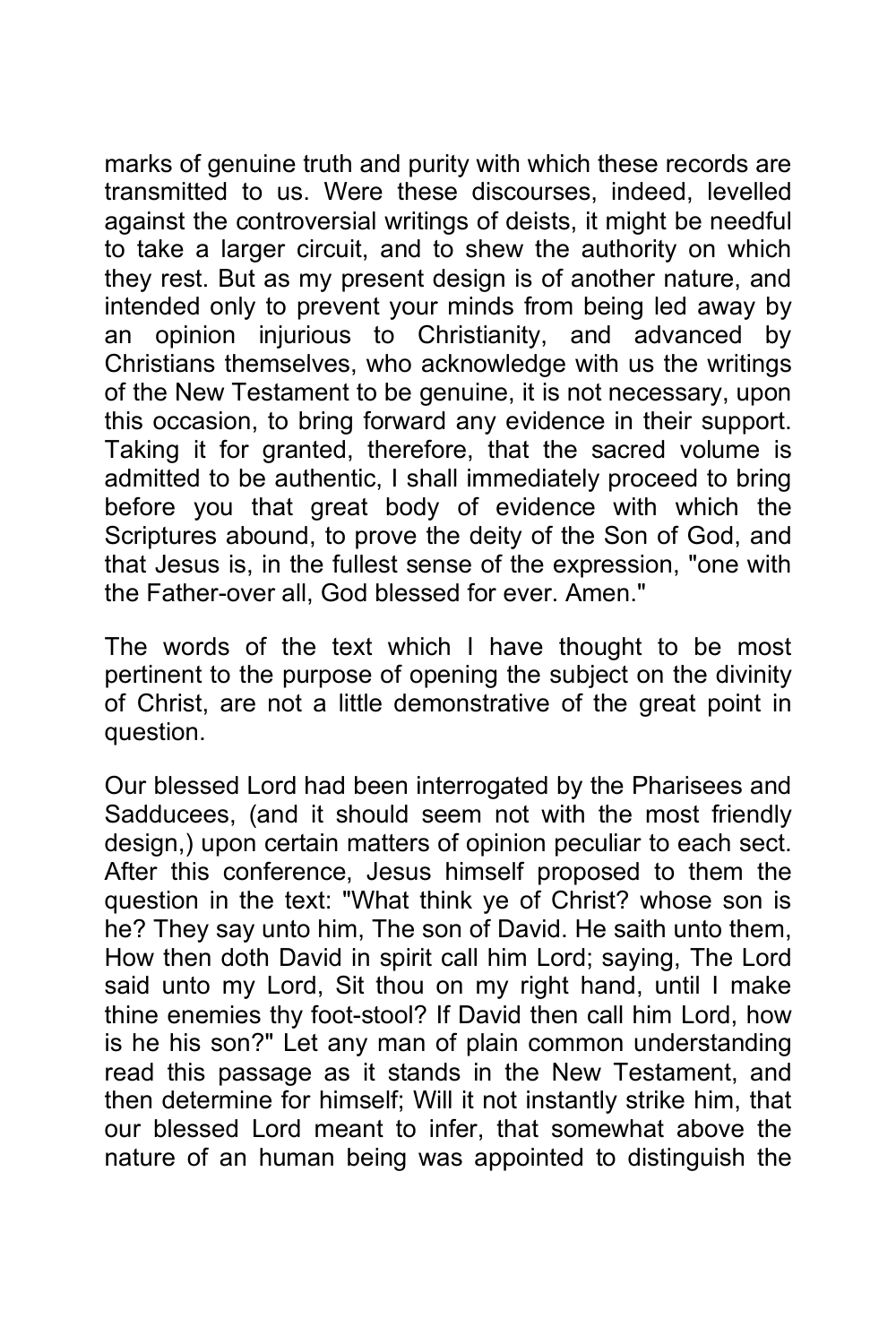marks of genuine truth and purity with which these records are transmitted to us. Were these discourses, indeed, levelled against the controversial writings of deists, it might be needful to take a larger circuit, and to shew the authority on which they rest. But as my present design is of another nature, and intended only to prevent your minds from being led away by an opinion injurious to Christianity, and advanced by Christians themselves, who acknowledge with us the writings of the New Testament to be genuine, it is not necessary, upon this occasion, to bring forward any evidence in their support. Taking it for granted, therefore, that the sacred volume is admitted to be authentic, I shall immediately proceed to bring before you that great body of evidence with which the Scriptures abound, to prove the deity of the Son of God, and that Jesus is, in the fullest sense of the expression, "one with the Father-over all, God blessed for ever. Amen."

The words of the text which I have thought to be most pertinent to the purpose of opening the subject on the divinity of Christ, are not a little demonstrative of the great point in question.

Our blessed Lord had been interrogated by the Pharisees and Sadducees, (and it should seem not with the most friendly design,) upon certain matters of opinion peculiar to each sect. After this conference, Jesus himself proposed to them the question in the text: "What think ye of Christ? whose son is he? They say unto him, The son of David. He saith unto them, How then doth David in spirit call him Lord; saying, The Lord said unto my Lord, Sit thou on my right hand, until I make thine enemies thy foot-stool? If David then call him Lord, how is he his son?" Let any man of plain common understanding read this passage as it stands in the New Testament, and then determine for himself; Will it not instantly strike him, that our blessed Lord meant to infer, that somewhat above the nature of an human being was appointed to distinguish the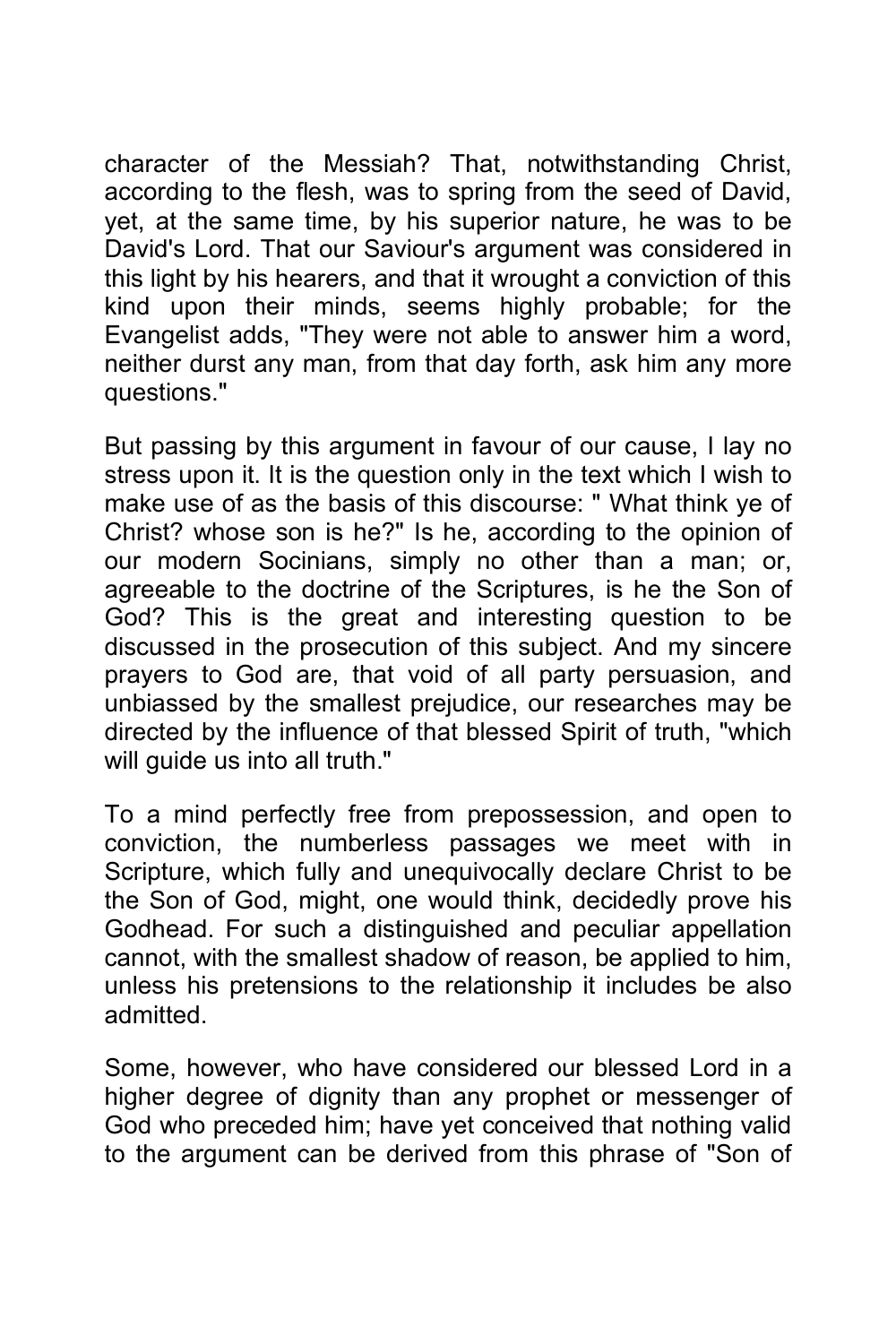character of the Messiah? That, notwithstanding Christ, according to the flesh, was to spring from the seed of David, yet, at the same time, by his superior nature, he was to be David's Lord. That our Saviour's argument was considered in this light by his hearers, and that it wrought a conviction of this kind upon their minds, seems highly probable; for the Evangelist adds, "They were not able to answer him a word, neither durst any man, from that day forth, ask him any more questions."

But passing by this argument in favour of our cause, I lay no stress upon it. It is the question only in the text which I wish to make use of as the basis of this discourse: " What think ye of Christ? whose son is he?" Is he, according to the opinion of our modern Socinians, simply no other than a man; or, agreeable to the doctrine of the Scriptures, is he the Son of God? This is the great and interesting question to be discussed in the prosecution of this subject. And my sincere prayers to God are, that void of all party persuasion, and unbiassed by the smallest prejudice, our researches may be directed by the influence of that blessed Spirit of truth, "which will guide us into all truth."

To a mind perfectly free from prepossession, and open to conviction, the numberless passages we meet with in Scripture, which fully and unequivocally declare Christ to be the Son of God, might, one would think, decidedly prove his Godhead. For such a distinguished and peculiar appellation cannot, with the smallest shadow of reason, be applied to him, unless his pretensions to the relationship it includes be also admitted.

Some, however, who have considered our blessed Lord in a higher degree of dignity than any prophet or messenger of God who preceded him; have yet conceived that nothing valid to the argument can be derived from this phrase of "Son of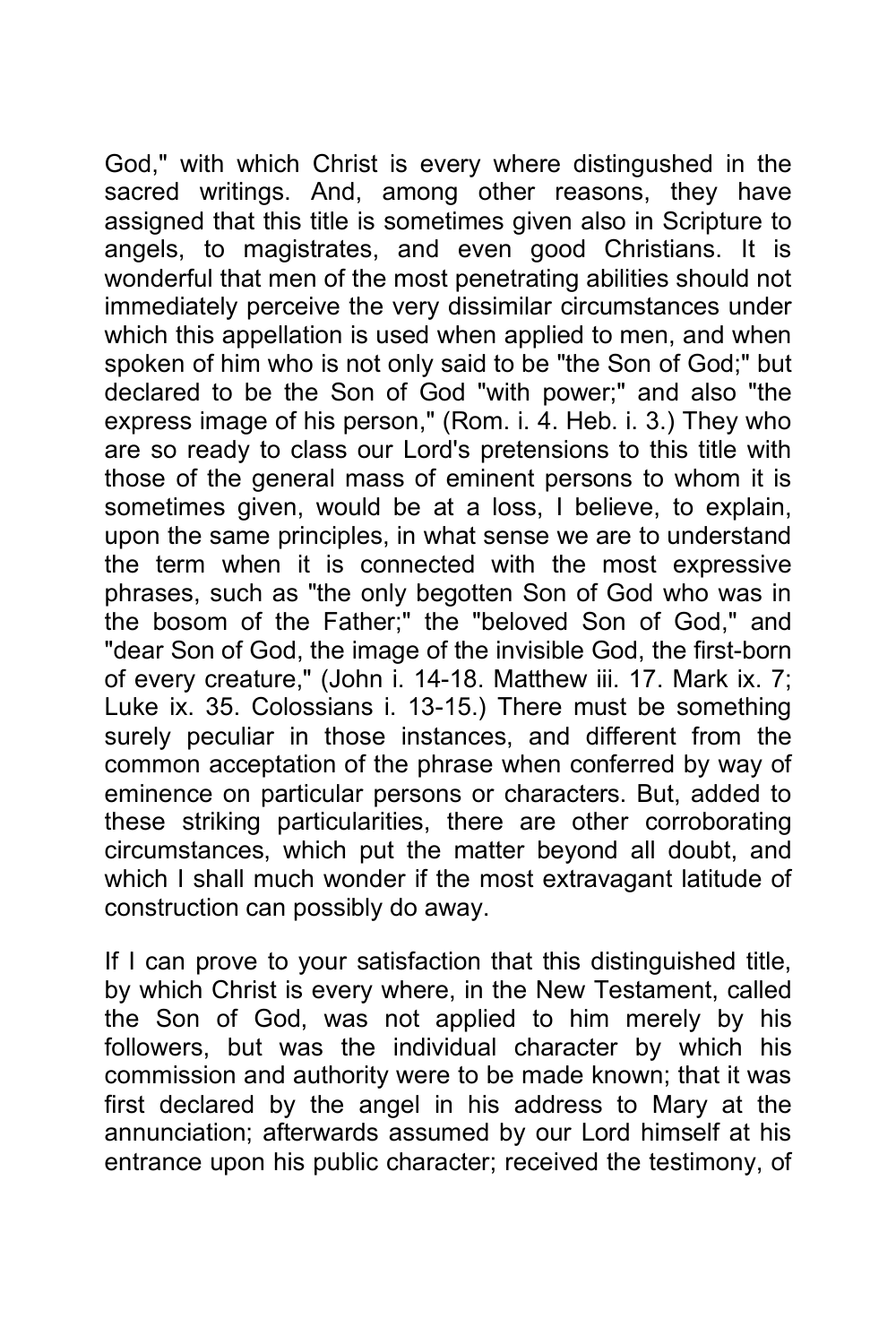God," with which Christ is every where distingushed in the sacred writings. And, among other reasons, they have assigned that this title is sometimes given also in Scripture to angels, to magistrates, and even good Christians. It is wonderful that men of the most penetrating abilities should not immediately perceive the very dissimilar circumstances under which this appellation is used when applied to men, and when spoken of him who is not only said to be "the Son of God;" but declared to be the Son of God "with power;" and also "the express image of his person," (Rom. i. 4. Heb. i. 3.) They who are so ready to class our Lord's pretensions to this title with those of the general mass of eminent persons to whom it is sometimes given, would be at a loss, I believe, to explain, upon the same principles, in what sense we are to understand the term when it is connected with the most expressive phrases, such as "the only begotten Son of God who was in the bosom of the Father;" the "beloved Son of God," and "dear Son of God, the image of the invisible God, the first-born of every creature," (John i. 14-18. Matthew iii. 17. Mark ix. 7; Luke ix. 35. Colossians i. 13-15.) There must be something surely peculiar in those instances, and different from the common acceptation of the phrase when conferred by way of eminence on particular persons or characters. But, added to these striking particularities, there are other corroborating circumstances, which put the matter beyond all doubt, and which I shall much wonder if the most extravagant latitude of construction can possibly do away.

If I can prove to your satisfaction that this distinguished title, by which Christ is every where, in the New Testament, called the Son of God, was not applied to him merely by his followers, but was the individual character by which his commission and authority were to be made known; that it was first declared by the angel in his address to Mary at the annunciation; afterwards assumed by our Lord himself at his entrance upon his public character; received the testimony, of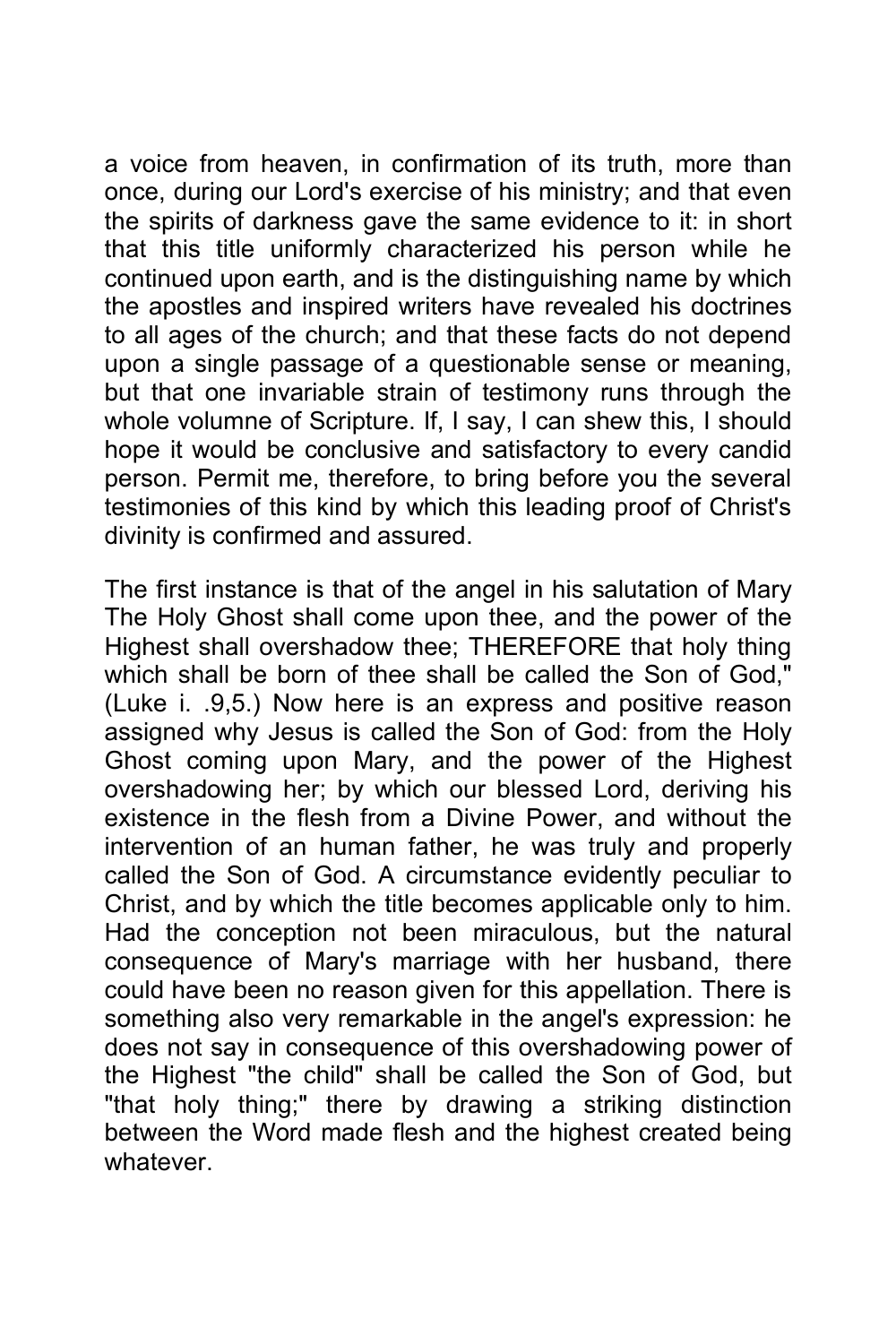a voice from heaven, in confirmation of its truth, more than once, during our Lord's exercise of his ministry; and that even the spirits of darkness gave the same evidence to it: in short that this title uniformly characterized his person while he continued upon earth, and is the distinguishing name by which the apostles and inspired writers have revealed his doctrines to all ages of the church; and that these facts do not depend upon a single passage of a questionable sense or meaning, but that one invariable strain of testimony runs through the whole volumne of Scripture. If, I say, I can shew this, I should hope it would be conclusive and satisfactory to every candid person. Permit me, therefore, to bring before you the several testimonies of this kind by which this leading proof of Christ's divinity is confirmed and assured.

The first instance is that of the angel in his salutation of Mary The Holy Ghost shall come upon thee, and the power of the Highest shall overshadow thee; THEREFORE that holy thing which shall be born of thee shall be called the Son of God," (Luke i. .9,5.) Now here is an express and positive reason assigned why Jesus is called the Son of God: from the Holy Ghost coming upon Mary, and the power of the Highest overshadowing her; by which our blessed Lord, deriving his existence in the flesh from a Divine Power, and without the intervention of an human father, he was truly and properly called the Son of God. A circumstance evidently peculiar to Christ, and by which the title becomes applicable only to him. Had the conception not been miraculous, but the natural consequence of Mary's marriage with her husband, there could have been no reason given for this appellation. There is something also very remarkable in the angel's expression: he does not say in consequence of this overshadowing power of the Highest "the child" shall be called the Son of God, but "that holy thing;" there by drawing a striking distinction between the Word made flesh and the highest created being whatever.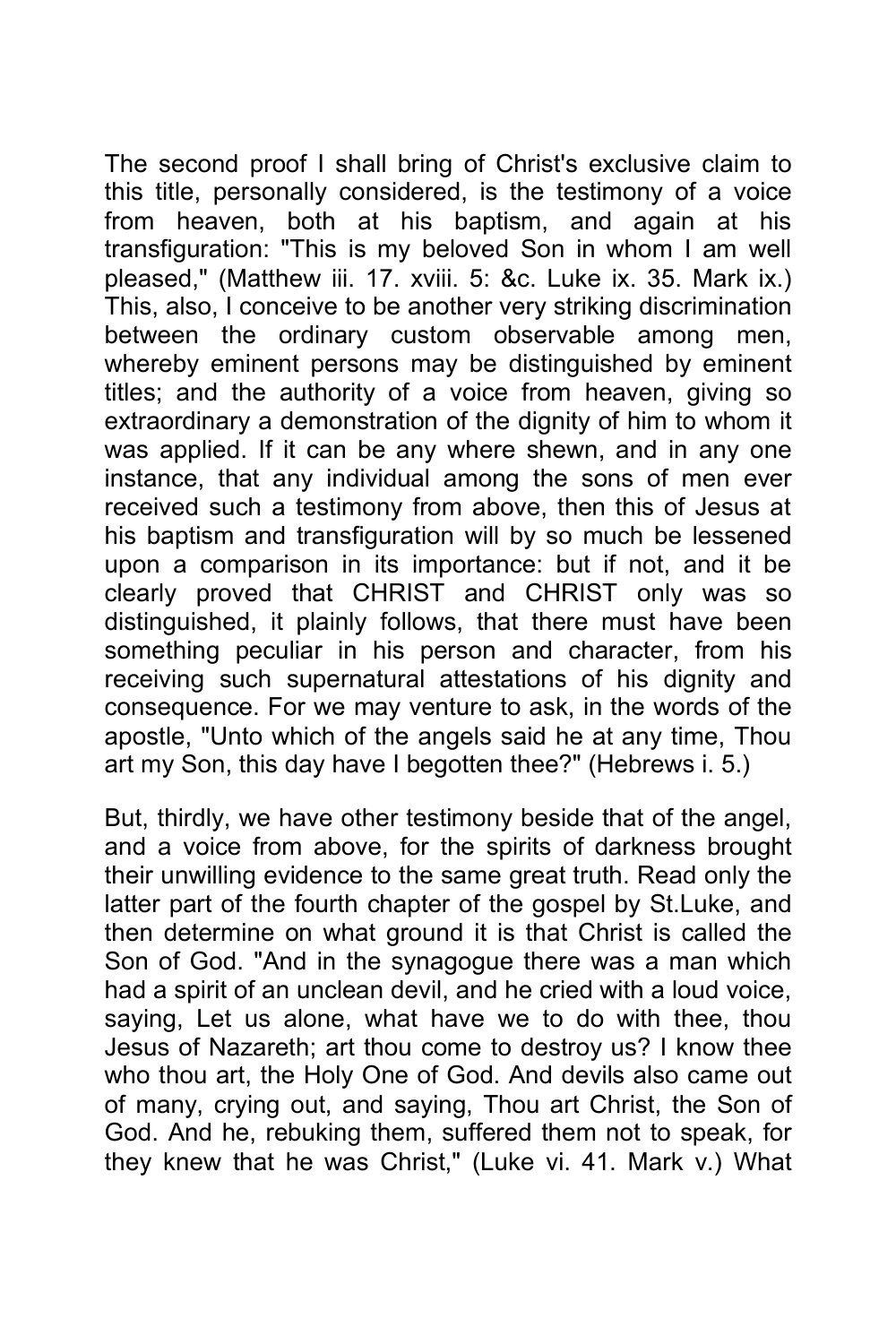The second proof I shall bring of Christ's exclusive claim to this title, personally considered, is the testimony of a voice from heaven, both at his baptism, and again at his transfiguration: "This is my beloved Son in whom I am well pleased," (Matthew iii. 17. xviii. 5: &c. Luke ix. 35. Mark ix.) This, also, I conceive to be another very striking discrimination between the ordinary custom observable among men, whereby eminent persons may be distinguished by eminent titles; and the authority of a voice from heaven, giving so extraordinary a demonstration of the dignity of him to whom it was applied. If it can be any where shewn, and in any one instance, that any individual among the sons of men ever received such a testimony from above, then this of Jesus at his baptism and transfiguration will by so much be lessened upon a comparison in its importance: but if not, and it be clearly proved that CHRIST and CHRIST only was so distinguished, it plainly follows, that there must have been something peculiar in his person and character, from his receiving such supernatural attestations of his dignity and consequence. For we may venture to ask, in the words of the apostle, "Unto which of the angels said he at any time, Thou art my Son, this day have I begotten thee?" (Hebrews i. 5.)

But, thirdly, we have other testimony beside that of the angel, and a voice from above, for the spirits of darkness brought their unwilling evidence to the same great truth. Read only the latter part of the fourth chapter of the gospel by St.Luke, and then determine on what ground it is that Christ is called the Son of God. "And in the synagogue there was a man which had a spirit of an unclean devil, and he cried with a loud voice, saying, Let us alone, what have we to do with thee, thou Jesus of Nazareth; art thou come to destroy us? I know thee who thou art, the Holy One of God. And devils also came out of many, crying out, and saying, Thou art Christ, the Son of God. And he, rebuking them, suffered them not to speak, for they knew that he was Christ," (Luke vi. 41. Mark v.) What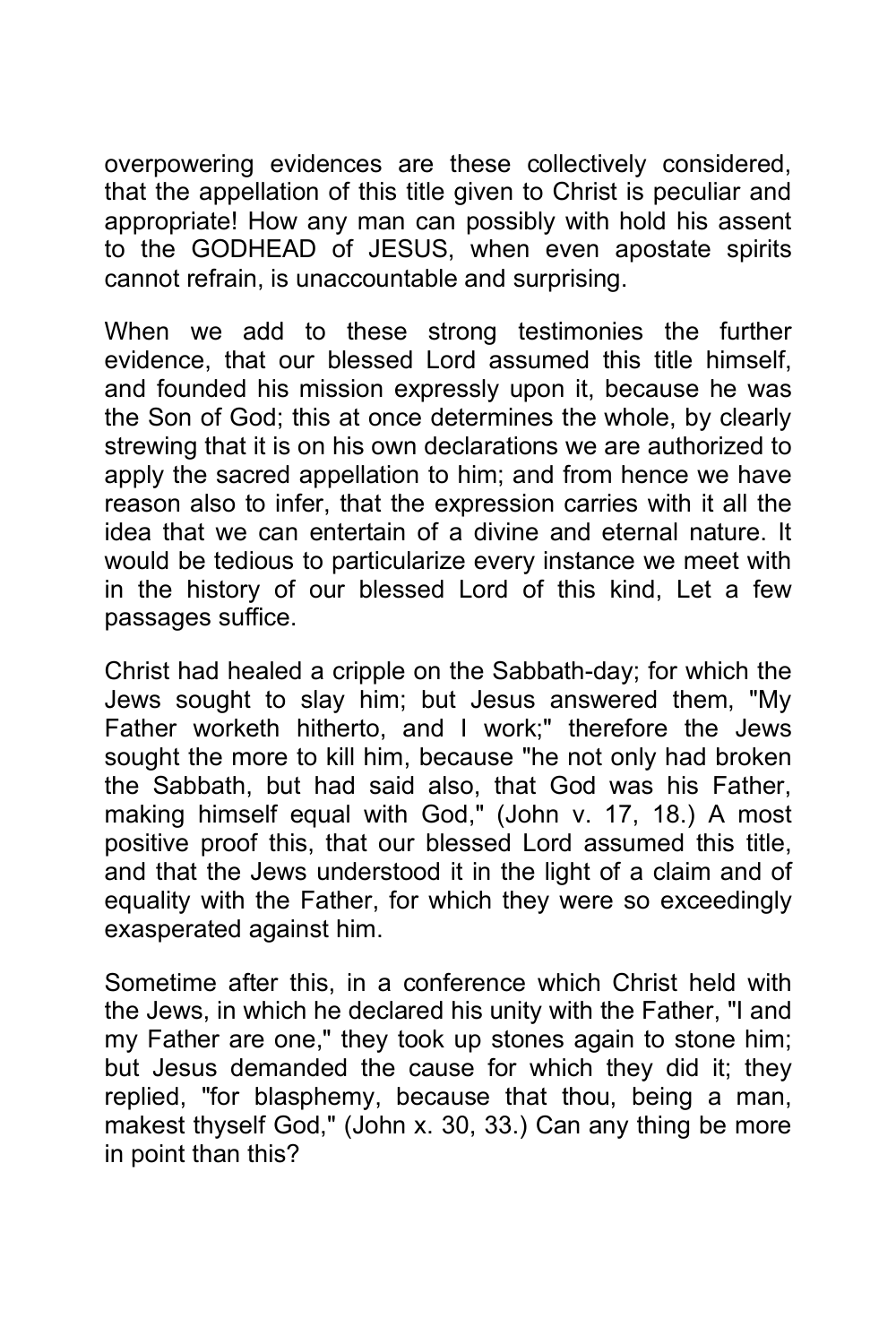overpowering evidences are these collectively considered, that the appellation of this title given to Christ is peculiar and appropriate! How any man can possibly with hold his assent to the GODHEAD of JESUS, when even apostate spirits cannot refrain, is unaccountable and surprising.

When we add to these strong testimonies the further evidence, that our blessed Lord assumed this title himself, and founded his mission expressly upon it, because he was the Son of God; this at once determines the whole, by clearly strewing that it is on his own declarations we are authorized to apply the sacred appellation to him; and from hence we have reason also to infer, that the expression carries with it all the idea that we can entertain of a divine and eternal nature. It would be tedious to particularize every instance we meet with in the history of our blessed Lord of this kind, Let a few passages suffice.

Christ had healed a cripple on the Sabbath-day; for which the Jews sought to slay him; but Jesus answered them, "My Father worketh hitherto, and I work;" therefore the Jews sought the more to kill him, because "he not only had broken the Sabbath, but had said also, that God was his Father, making himself equal with God," (John v. 17, 18.) A most positive proof this, that our blessed Lord assumed this title, and that the Jews understood it in the light of a claim and of equality with the Father, for which they were so exceedingly exasperated against him.

Sometime after this, in a conference which Christ held with the Jews, in which he declared his unity with the Father, "I and my Father are one," they took up stones again to stone him; but Jesus demanded the cause for which they did it; they replied, "for blasphemy, because that thou, being a man, makest thyself God," (John x. 30, 33.) Can any thing be more in point than this?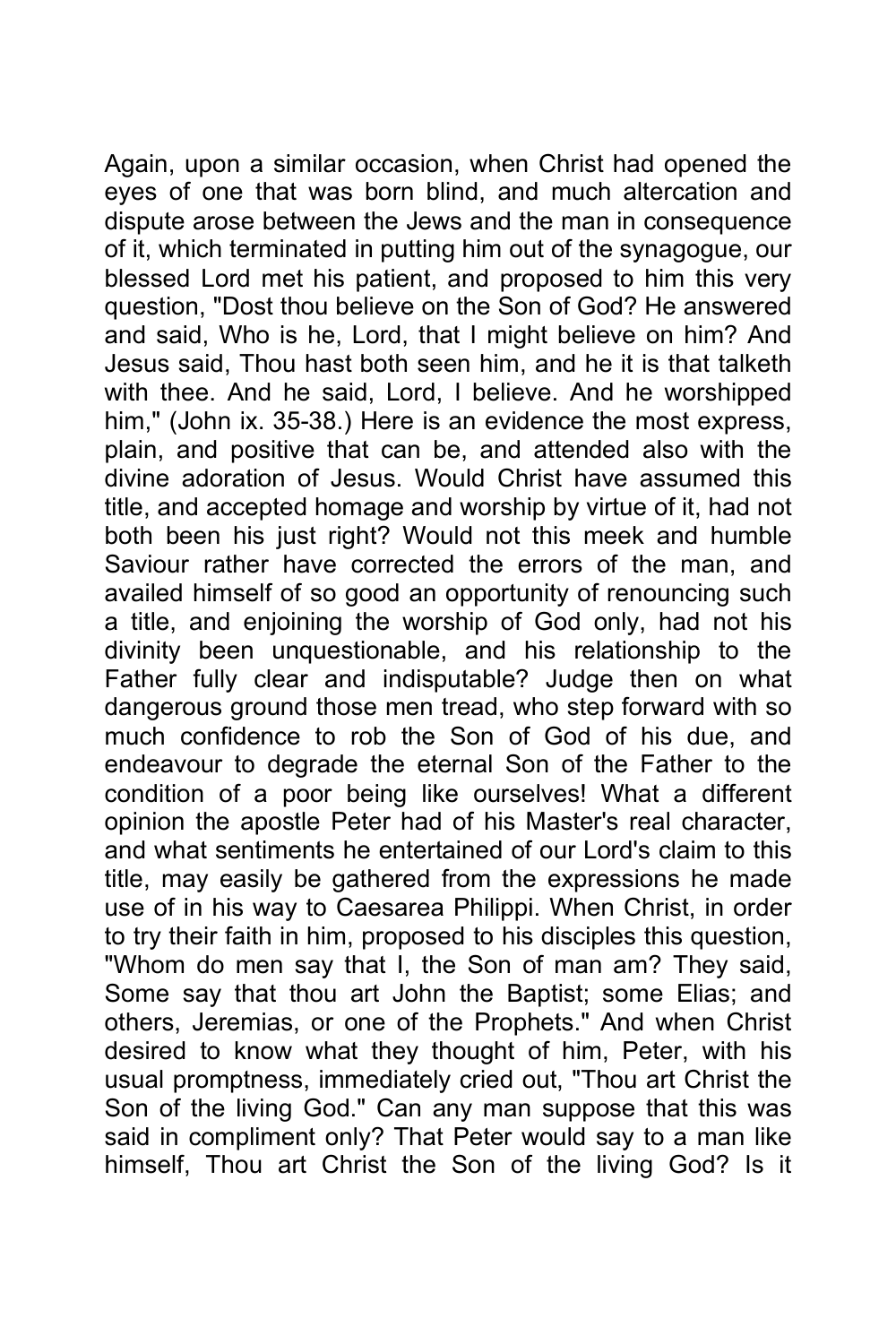Again, upon a similar occasion, when Christ had opened the eyes of one that was born blind, and much altercation and dispute arose between the Jews and the man in consequence of it, which terminated in putting him out of the synagogue, our blessed Lord met his patient, and proposed to him this very question, "Dost thou believe on the Son of God? He answered and said, Who is he, Lord, that I might believe on him? And Jesus said, Thou hast both seen him, and he it is that talketh with thee. And he said, Lord, I believe. And he worshipped him," (John ix. 35-38.) Here is an evidence the most express, plain, and positive that can be, and attended also with the divine adoration of Jesus. Would Christ have assumed this title, and accepted homage and worship by virtue of it, had not both been his just right? Would not this meek and humble Saviour rather have corrected the errors of the man, and availed himself of so good an opportunity of renouncing such a title, and enjoining the worship of God only, had not his divinity been unquestionable, and his relationship to the Father fully clear and indisputable? Judge then on what dangerous ground those men tread, who step forward with so much confidence to rob the Son of God of his due, and endeavour to degrade the eternal Son of the Father to the condition of a poor being like ourselves! What a different opinion the apostle Peter had of his Master's real character, and what sentiments he entertained of our Lord's claim to this title, may easily be gathered from the expressions he made use of in his way to Caesarea Philippi. When Christ, in order to try their faith in him, proposed to his disciples this question, "Whom do men say that I, the Son of man am? They said, Some say that thou art John the Baptist; some Elias; and others, Jeremias, or one of the Prophets." And when Christ desired to know what they thought of him, Peter, with his usual promptness, immediately cried out, "Thou art Christ the Son of the living God." Can any man suppose that this was said in compliment only? That Peter would say to a man like himself, Thou art Christ the Son of the living God? Is it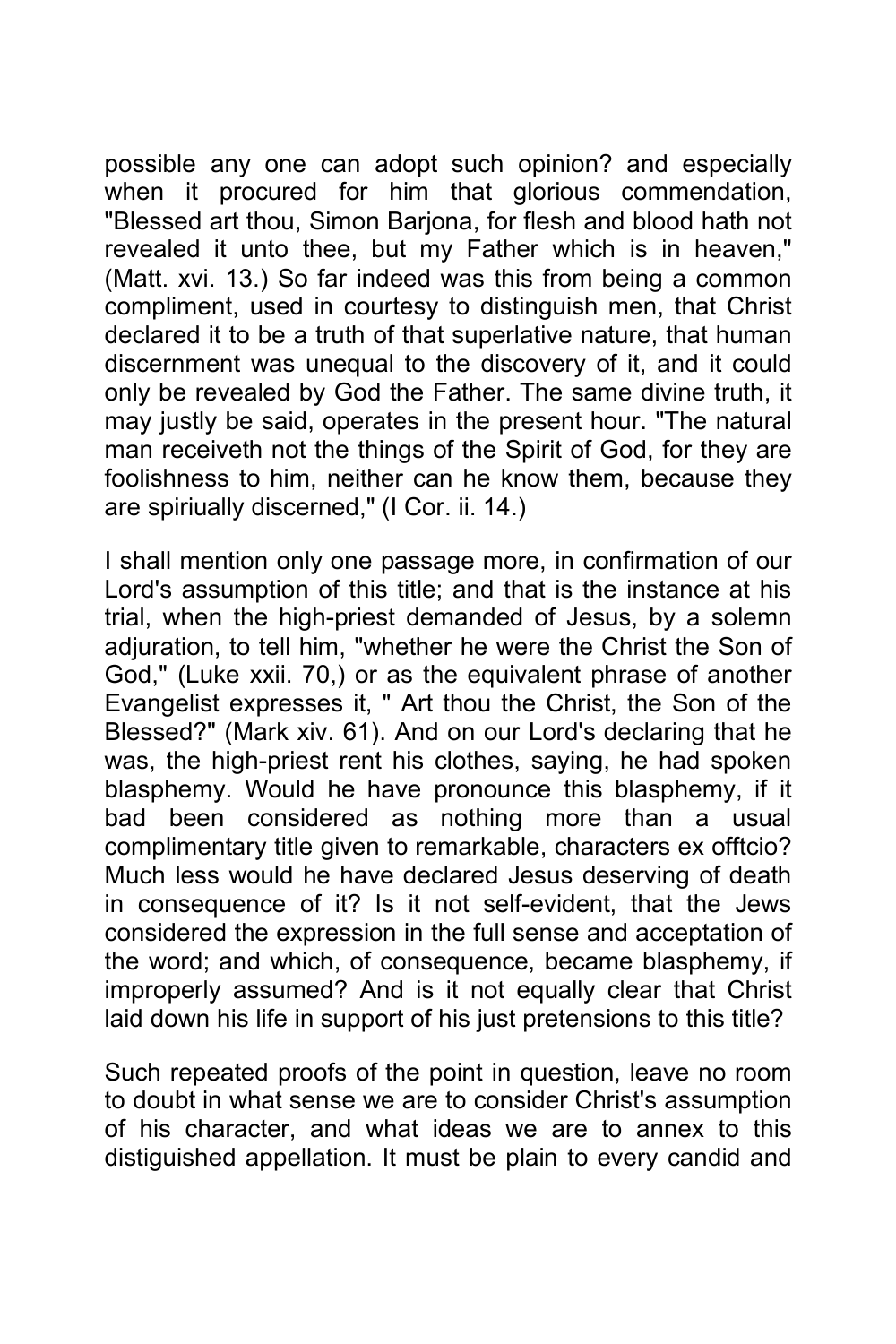possible any one can adopt such opinion? and especially when it procured for him that glorious commendation, "Blessed art thou, Simon Barjona, for flesh and blood hath not revealed it unto thee, but my Father which is in heaven," (Matt. xvi. 13.) So far indeed was this from being a common compliment, used in courtesy to distinguish men, that Christ declared it to be a truth of that superlative nature, that human discernment was unequal to the discovery of it, and it could only be revealed by God the Father. The same divine truth, it may justly be said, operates in the present hour. "The natural man receiveth not the things of the Spirit of God, for they are foolishness to him, neither can he know them, because they are spiriually discerned," (I Cor. ii. 14.)

I shall mention only one passage more, in confirmation of our Lord's assumption of this title; and that is the instance at his trial, when the high-priest demanded of Jesus, by a solemn adjuration, to tell him, "whether he were the Christ the Son of God," (Luke xxii. 70,) or as the equivalent phrase of another Evangelist expresses it, " Art thou the Christ, the Son of the Blessed?" (Mark xiv. 61). And on our Lord's declaring that he was, the high-priest rent his clothes, saying, he had spoken blasphemy. Would he have pronounce this blasphemy, if it bad been considered as nothing more than a usual complimentary title given to remarkable, characters ex offtcio? Much less would he have declared Jesus deserving of death in consequence of it? Is it not self-evident, that the Jews considered the expression in the full sense and acceptation of the word; and which, of consequence, became blasphemy, if improperly assumed? And is it not equally clear that Christ laid down his life in support of his just pretensions to this title?

Such repeated proofs of the point in question, leave no room to doubt in what sense we are to consider Christ's assumption of his character, and what ideas we are to annex to this distiguished appellation. It must be plain to every candid and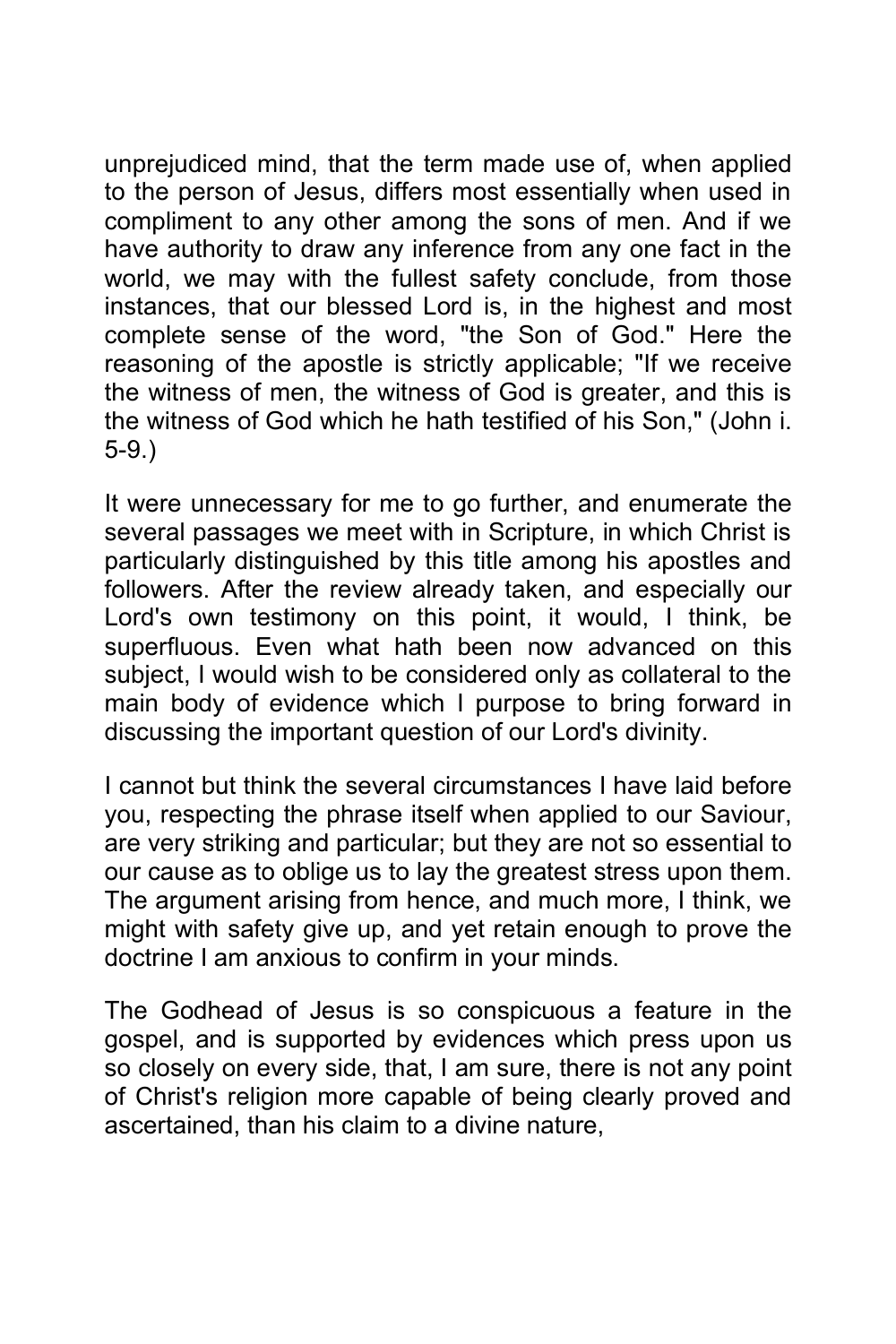unprejudiced mind, that the term made use of, when applied to the person of Jesus, differs most essentially when used in compliment to any other among the sons of men. And if we have authority to draw any inference from any one fact in the world, we may with the fullest safety conclude, from those instances, that our blessed Lord is, in the highest and most complete sense of the word, "the Son of God." Here the reasoning of the apostle is strictly applicable; "If we receive the witness of men, the witness of God is greater, and this is the witness of God which he hath testified of his Son," (John i. 5-9.)

It were unnecessary for me to go further, and enumerate the several passages we meet with in Scripture, in which Christ is particularly distinguished by this title among his apostles and followers. After the review already taken, and especially our Lord's own testimony on this point, it would, I think, be superfluous. Even what hath been now advanced on this subject, I would wish to be considered only as collateral to the main body of evidence which I purpose to bring forward in discussing the important question of our Lord's divinity.

I cannot but think the several circumstances I have laid before you, respecting the phrase itself when applied to our Saviour, are very striking and particular; but they are not so essential to our cause as to oblige us to lay the greatest stress upon them. The argument arising from hence, and much more, I think, we might with safety give up, and yet retain enough to prove the doctrine I am anxious to confirm in your minds.

The Godhead of Jesus is so conspicuous a feature in the gospel, and is supported by evidences which press upon us so closely on every side, that, I am sure, there is not any point of Christ's religion more capable of being clearly proved and ascertained, than his claim to a divine nature,